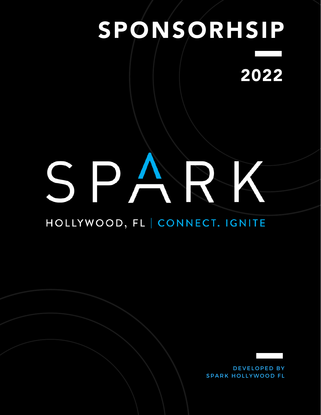# SPONSORHSIP 2022

# SPARK

# HOLLYWOOD, FL | CONNECT. IGNITE

DEVELOPED BY **SPARK HOLLYWOOD FL**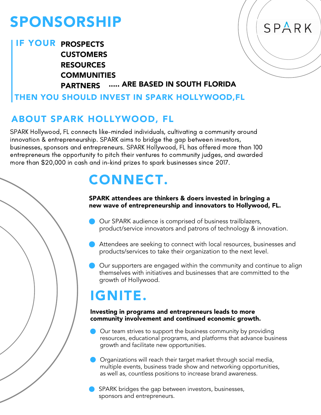# SPONSORSHIP

# IF YOUR PROSPECTS **CUSTOMERS** RESOURCES COMMUNITIES PARTNERS ..... ARE BASED IN SOUTH FLORIDA

# THEN YOU SHOULD INVEST IN SPARK HOLLYWOOD,FL

# ABOUT SPARK HOLLYWOOD, FL

SPARK Hollywood, FL connects like-minded individuals, cultivating a community around innovation & entrepreneurship. SPARK aims to bridge the gap between investors, businesses, sponsors and entrepreneurs. SPARK Hollywood, FL has offered more than 100 entrepreneurs the opportunity to pitch their ventures to community judges, and awarded more than \$20,000 in cash and in-kind prizes to spark businesses since 2017.

# CONNECT.

### SPARK attendees are thinkers & doers invested in bringing a new wave of entrepreneurship and innovators to Hollywood, FL.

SPARK

- Our SPARK audience is comprised of business trailblazers, product/service innovators and patrons of technology & innovation.
- Attendees are seeking to connect with local resources, businesses and products/services to take their organization to the next level.
- Our supporters are engaged within the community and continue to align themselves with initiatives and businesses that are committed to the growth of Hollywood.

# IGNITE.

### Investing in programs and entrepreneurs leads to more community involvement and continued economic growth.

- Our team strives to support the business community by providing resources, educational programs, and platforms that advance business growth and facilitate new opportunities.
- Organizations will reach their target market through social media, multiple events, business trade show and networking opportunities, as well as, countless positions to increase brand awareness.
- SPARK bridges the gap between investors, businesses, sponsors and entrepreneurs.